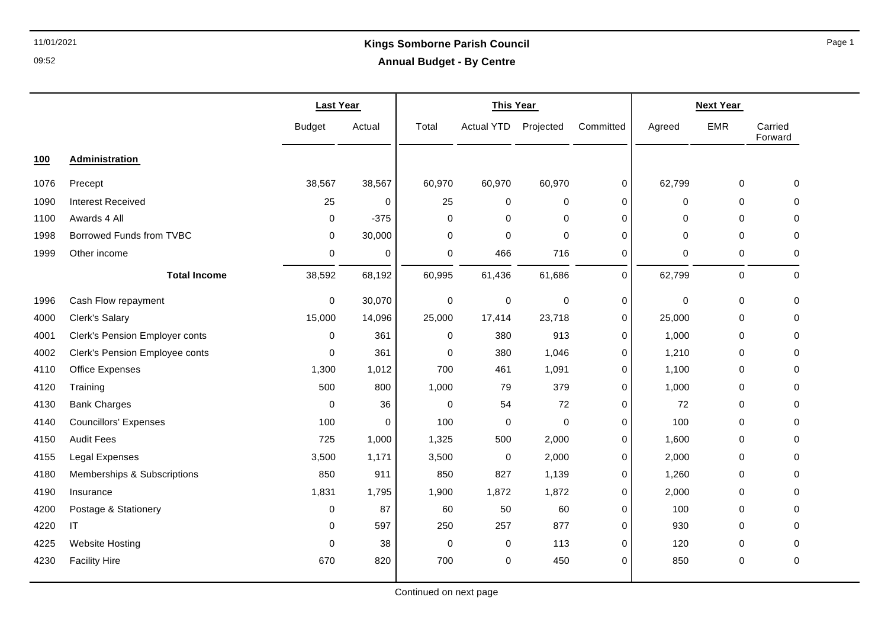## 11/01/2021 **Kings Somborne Parish Council Annual Budget - By Centre**

|      |                                | <b>Last Year</b>    |             |             | <b>This Year</b>  |             |                |             | <b>Next Year</b> |                    |
|------|--------------------------------|---------------------|-------------|-------------|-------------------|-------------|----------------|-------------|------------------|--------------------|
|      |                                | <b>Budget</b>       | Actual      | Total       | <b>Actual YTD</b> | Projected   | Committed      | Agreed      | <b>EMR</b>       | Carried<br>Forward |
| 100  | <b>Administration</b>          |                     |             |             |                   |             |                |             |                  |                    |
| 1076 | Precept                        | 38,567              | 38,567      | 60,970      | 60,970            | 60,970      | 0              | 62,799      | 0                | 0                  |
| 1090 | <b>Interest Received</b>       | 25                  | 0           | 25          | 0                 | 0           | $\mathbf 0$    | 0           | 0                | 0                  |
| 1100 | Awards 4 All                   | 0                   | $-375$      | 0           | $\mathbf 0$       | $\mathbf 0$ | $\mathbf 0$    | 0           | 0                | 0                  |
| 1998 | Borrowed Funds from TVBC       | $\mathbf 0$         | 30,000      | $\mathbf 0$ | $\mathbf 0$       | $\Omega$    | 0              | $\Omega$    | $\mathbf 0$      | 0                  |
| 1999 | Other income                   | $\mathbf 0$         | 0           | $\mathbf 0$ | 466               | 716         | $\mathbf 0$    | $\mathbf 0$ | $\mathbf 0$      | 0                  |
|      | <b>Total Income</b>            | 38,592              | 68,192      | 60,995      | 61,436            | 61,686      | $\overline{0}$ | 62,799      | 0                | $\mathbf 0$        |
| 1996 | Cash Flow repayment            | $\mathsf{O}\xspace$ | 30,070      | $\mathsf 0$ | $\pmb{0}$         | $\mathbf 0$ | 0              | $\mathbf 0$ | $\mathbf 0$      | 0                  |
| 4000 | Clerk's Salary                 | 15,000              | 14,096      | 25,000      | 17,414            | 23,718      | 0              | 25,000      | $\mathbf 0$      | 0                  |
| 4001 | Clerk's Pension Employer conts | 0                   | 361         | 0           | 380               | 913         | 0              | 1,000       | $\mathbf 0$      | 0                  |
| 4002 | Clerk's Pension Employee conts | $\Omega$            | 361         | $\Omega$    | 380               | 1,046       | 0              | 1,210       | 0                | 0                  |
| 4110 | <b>Office Expenses</b>         | 1,300               | 1,012       | 700         | 461               | 1,091       | $\mathbf 0$    | 1,100       | 0                | 0                  |
| 4120 | Training                       | 500                 | 800         | 1,000       | 79                | 379         | $\mathbf 0$    | 1,000       | 0                | 0                  |
| 4130 | <b>Bank Charges</b>            | $\mathbf 0$         | 36          | 0           | 54                | 72          | $\mathbf 0$    | 72          | 0                | 0                  |
| 4140 | <b>Councillors' Expenses</b>   | 100                 | $\mathbf 0$ | 100         | $\mathbf 0$       | $\mathbf 0$ | 0              | 100         | $\mathbf 0$      | 0                  |
| 4150 | <b>Audit Fees</b>              | 725                 | 1,000       | 1,325       | 500               | 2,000       | 0              | 1,600       | $\pmb{0}$        | 0                  |
| 4155 | Legal Expenses                 | 3,500               | 1,171       | 3,500       | $\mathbf 0$       | 2,000       | 0              | 2,000       | $\mathbf 0$      | 0                  |
| 4180 | Memberships & Subscriptions    | 850                 | 911         | 850         | 827               | 1,139       | $\mathbf 0$    | 1,260       | 0                | 0                  |
| 4190 | Insurance                      | 1,831               | 1,795       | 1,900       | 1,872             | 1,872       | $\mathbf 0$    | 2,000       | 0                | 0                  |
| 4200 | Postage & Stationery           | $\mathbf 0$         | 87          | 60          | 50                | 60          | 0              | 100         | 0                | 0                  |
| 4220 | $\mathsf{I}\mathsf{T}$         | $\mathbf 0$         | 597         | 250         | 257               | 877         | $\mathbf 0$    | 930         | 0                | 0                  |
| 4225 | <b>Website Hosting</b>         | $\mathbf 0$         | 38          | $\mathbf 0$ | $\mathbf 0$       | 113         | 0              | 120         | $\mathbf 0$      | 0                  |
| 4230 | <b>Facility Hire</b>           | 670                 | 820         | 700         | $\pmb{0}$         | 450         | 0              | 850         | $\pmb{0}$        | $\mathbf 0$        |
|      |                                |                     |             |             |                   |             |                |             |                  |                    |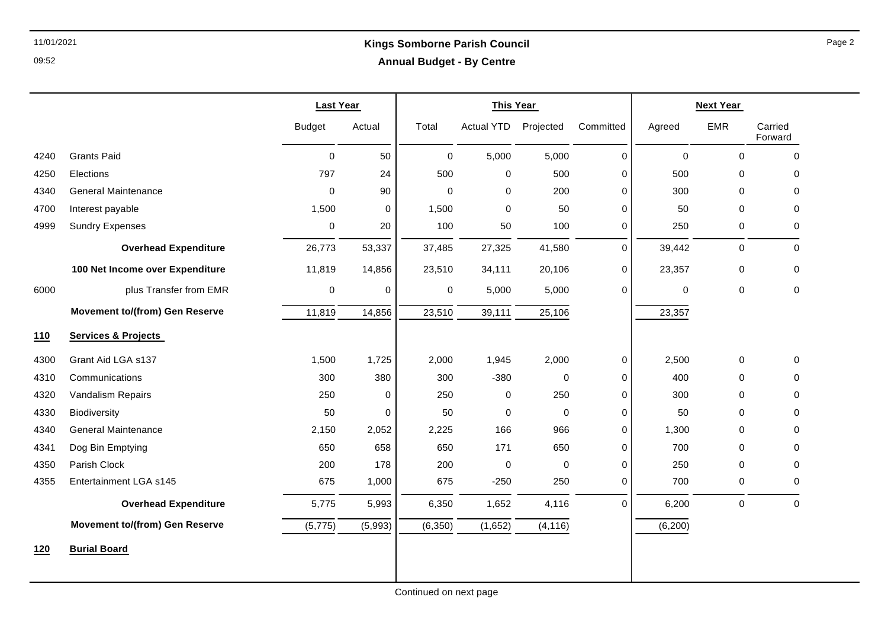## 11/01/2021 **Kings Somborne Parish Council Annual Budget - By Centre**

|      |                                       | <b>Last Year</b> |             |             | <b>This Year</b> |              |             |             | <b>Next Year</b> |                    |
|------|---------------------------------------|------------------|-------------|-------------|------------------|--------------|-------------|-------------|------------------|--------------------|
|      |                                       | <b>Budget</b>    | Actual      | Total       | Actual YTD       | Projected    | Committed   | Agreed      | <b>EMR</b>       | Carried<br>Forward |
| 4240 | <b>Grants Paid</b>                    | 0                | 50          | $\mathbf 0$ | 5,000            | 5,000        | 0           | $\mathbf 0$ | $\mathbf 0$      | $\mathbf 0$        |
| 4250 | Elections                             | 797              | 24          | 500         | 0                | 500          | 0           | 500         | $\Omega$         | $\mathbf 0$        |
| 4340 | <b>General Maintenance</b>            | 0                | 90          | 0           | $\pmb{0}$        | 200          | 0           | 300         | 0                | 0                  |
| 4700 | Interest payable                      | 1,500            | $\mathbf 0$ | 1,500       | 0                | 50           | 0           | 50          | $\mathbf 0$      | $\mathbf 0$        |
| 4999 | <b>Sundry Expenses</b>                | 0                | 20          | 100         | 50               | 100          | $\mathbf 0$ | 250         | 0                | 0                  |
|      | <b>Overhead Expenditure</b>           | 26,773           | 53,337      | 37,485      | 27,325           | 41,580       | $\mathbf 0$ | 39,442      | $\mathbf 0$      | $\mathbf 0$        |
|      | 100 Net Income over Expenditure       | 11,819           | 14,856      | 23,510      | 34,111           | 20,106       | 0           | 23,357      | 0                | 0                  |
| 6000 | plus Transfer from EMR                | $\pmb{0}$        | 0           | 0           | 5,000            | 5,000        | $\mathbf 0$ | $\pmb{0}$   | $\mathbf 0$      | $\pmb{0}$          |
|      | <b>Movement to/(from) Gen Reserve</b> | 11,819           | 14,856      | 23,510      | 39,111           | 25,106       |             | 23,357      |                  |                    |
| 110  | <b>Services &amp; Projects</b>        |                  |             |             |                  |              |             |             |                  |                    |
| 4300 | Grant Aid LGA s137                    | 1,500            | 1,725       | 2,000       | 1,945            | 2,000        | 0           | 2,500       | $\mathbf 0$      | $\mathbf 0$        |
| 4310 | Communications                        | 300              | 380         | 300         | $-380$           | $\mathbf{0}$ | 0           | 400         | $\Omega$         | $\mathbf 0$        |
| 4320 | Vandalism Repairs                     | 250              | $\mathbf 0$ | 250         | $\pmb{0}$        | 250          | 0           | 300         | 0                | $\mathbf 0$        |
| 4330 | Biodiversity                          | 50               | 0           | 50          | 0                | $\mathbf 0$  | $\mathbf 0$ | 50          | $\Omega$         | 0                  |
| 4340 | <b>General Maintenance</b>            | 2,150            | 2,052       | 2,225       | 166              | 966          | 0           | 1,300       | 0                | $\mathbf 0$        |
| 4341 | Dog Bin Emptying                      | 650              | 658         | 650         | 171              | 650          | 0           | 700         | $\mathbf 0$      | $\mathbf 0$        |
| 4350 | Parish Clock                          | 200              | 178         | 200         | $\mathbf 0$      | $\mathbf 0$  | 0           | 250         | $\Omega$         | $\Omega$           |
| 4355 | Entertainment LGA s145                | 675              | 1,000       | 675         | $-250$           | 250          | 0           | 700         | 0                | $\Omega$           |
|      | <b>Overhead Expenditure</b>           | 5,775            | 5,993       | 6,350       | 1,652            | 4,116        | $\Omega$    | 6,200       | $\mathbf 0$      | $\Omega$           |
|      | <b>Movement to/(from) Gen Reserve</b> | (5,775)          | (5,993)     | (6,350)     | (1,652)          | (4, 116)     |             | (6, 200)    |                  |                    |
| 120  | <b>Burial Board</b>                   |                  |             |             |                  |              |             |             |                  |                    |
|      |                                       |                  |             |             |                  |              |             |             |                  |                    |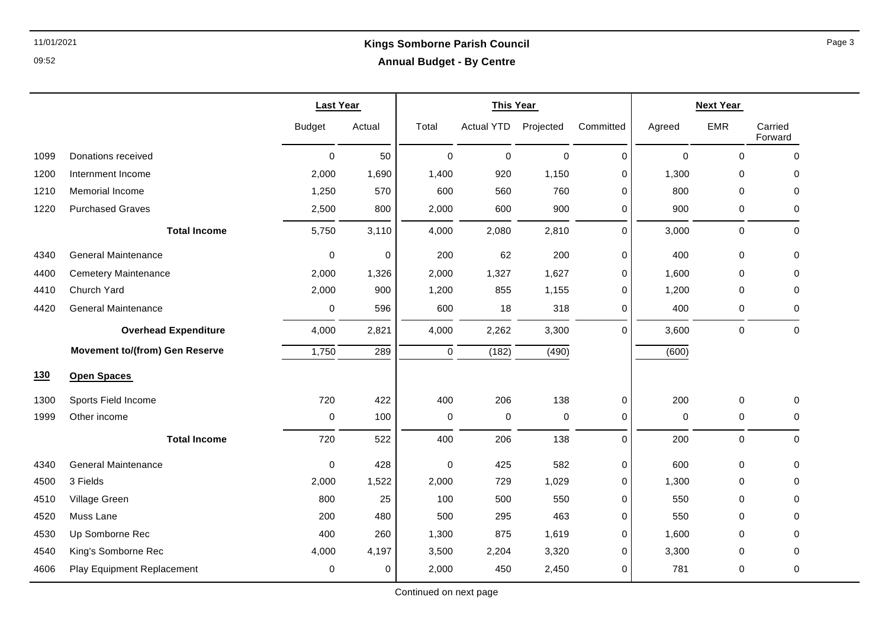## 11/01/2021 **Kings Somborne Parish Council Annual Budget - By Centre**

|      |                                       | <b>Last Year</b> |             |                | <b>This Year</b>     |             |             |             | <b>Next Year</b> |                    |
|------|---------------------------------------|------------------|-------------|----------------|----------------------|-------------|-------------|-------------|------------------|--------------------|
|      |                                       | <b>Budget</b>    | Actual      | Total          | Actual YTD Projected |             | Committed   | Agreed      | <b>EMR</b>       | Carried<br>Forward |
| 1099 | Donations received                    | $\pmb{0}$        | 50          | $\mathbf 0$    | $\mathbf 0$          | $\mathbf 0$ | $\mathbf 0$ | $\mathbf 0$ | $\mathbf 0$      | $\mathbf{0}$       |
| 1200 | Internment Income                     | 2,000            | 1,690       | 1,400          | 920                  | 1,150       | 0           | 1,300       | 0                | 0                  |
| 1210 | Memorial Income                       | 1,250            | 570         | 600            | 560                  | 760         | 0           | 800         | $\mathbf 0$      | 0                  |
| 1220 | <b>Purchased Graves</b>               | 2,500            | 800         | 2,000          | 600                  | 900         | 0           | 900         | 0                | 0                  |
|      | <b>Total Income</b>                   | 5,750            | 3,110       | 4,000          | 2,080                | 2,810       | $\mathbf 0$ | 3,000       | $\pmb{0}$        | $\mathbf 0$        |
| 4340 | <b>General Maintenance</b>            | $\mathbf 0$      | 0           | 200            | 62                   | 200         | $\mathbf 0$ | 400         | 0                | $\mathbf 0$        |
| 4400 | <b>Cemetery Maintenance</b>           | 2,000            | 1,326       | 2,000          | 1,327                | 1,627       | 0           | 1,600       | $\mathbf 0$      | 0                  |
| 4410 | Church Yard                           | 2,000            | 900         | 1,200          | 855                  | 1,155       | 0           | 1,200       | 0                | 0                  |
| 4420 | <b>General Maintenance</b>            | $\pmb{0}$        | 596         | 600            | 18                   | 318         | 0           | 400         | 0                | $\pmb{0}$          |
|      | <b>Overhead Expenditure</b>           | 4,000            | 2,821       | 4,000          | 2,262                | 3,300       | $\Omega$    | 3,600       | $\mathbf 0$      | $\mathbf 0$        |
|      | <b>Movement to/(from) Gen Reserve</b> | 1,750            | 289         | $\overline{0}$ | (182)                | (490)       |             | (600)       |                  |                    |
| 130  | <b>Open Spaces</b>                    |                  |             |                |                      |             |             |             |                  |                    |
| 1300 | Sports Field Income                   | 720              | 422         | 400            | 206                  | 138         | 0           | 200         | $\mathbf 0$      | $\mathbf 0$        |
| 1999 | Other income                          | $\pmb{0}$        | 100         | $\pmb{0}$      | $\mathsf 0$          | $\pmb{0}$   | 0           | $\pmb{0}$   | $\mathbf 0$      | 0                  |
|      | <b>Total Income</b>                   | 720              | 522         | 400            | 206                  | 138         | $\Omega$    | 200         | $\pmb{0}$        | $\mathbf 0$        |
| 4340 | <b>General Maintenance</b>            | $\pmb{0}$        | 428         | $\mathbf 0$    | 425                  | 582         | 0           | 600         | 0                | $\pmb{0}$          |
| 4500 | 3 Fields                              | 2,000            | 1,522       | 2,000          | 729                  | 1,029       | 0           | 1,300       | $\mathbf 0$      | 0                  |
| 4510 | Village Green                         | 800              | 25          | 100            | 500                  | 550         | 0           | 550         | 0                | 0                  |
| 4520 | Muss Lane                             | 200              | 480         | 500            | 295                  | 463         | 0           | 550         | $\mathbf 0$      | 0                  |
| 4530 | Up Somborne Rec                       | 400              | 260         | 1,300          | 875                  | 1,619       | $\mathbf 0$ | 1,600       | $\mathbf 0$      | 0                  |
| 4540 | King's Somborne Rec                   | 4,000            | 4,197       | 3,500          | 2,204                | 3,320       | 0           | 3,300       | 0                | 0                  |
| 4606 | Play Equipment Replacement            | $\pmb{0}$        | $\mathbf 0$ | 2,000          | 450                  | 2,450       | $\mathbf 0$ | 781         | $\mathbf 0$      | $\pmb{0}$          |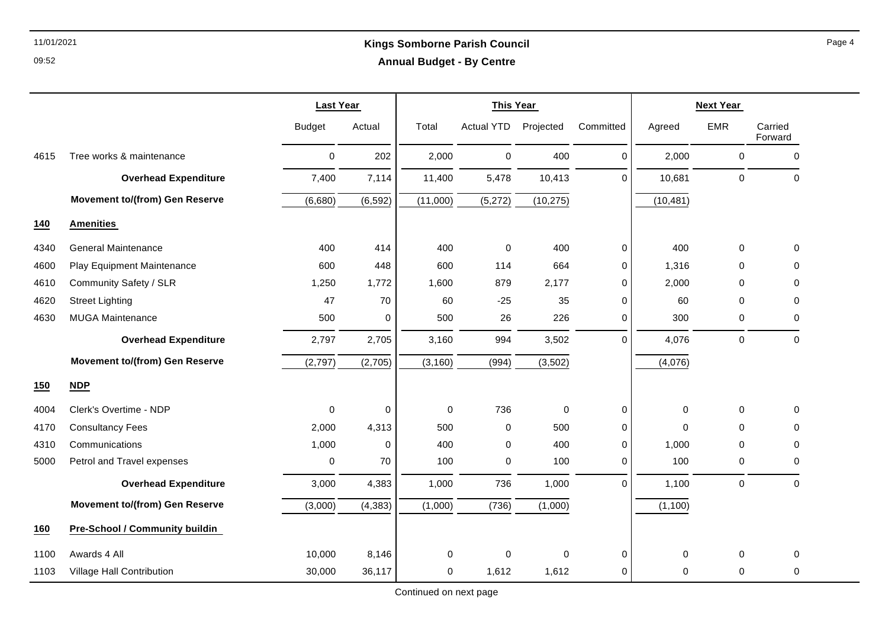## 11/01/2021 **Kings Somborne Parish Council Annual Budget - By Centre**

|      |                                       | <b>Last Year</b> |          |          | <b>This Year</b>  |             |              |           | <b>Next Year</b> |                    |
|------|---------------------------------------|------------------|----------|----------|-------------------|-------------|--------------|-----------|------------------|--------------------|
|      |                                       | <b>Budget</b>    | Actual   | Total    | <b>Actual YTD</b> | Projected   | Committed    | Agreed    | <b>EMR</b>       | Carried<br>Forward |
| 4615 | Tree works & maintenance              | $\mathbf 0$      | 202      | 2,000    | 0                 | 400         | $\Omega$     | 2,000     | 0                | $\mathbf 0$        |
|      | <b>Overhead Expenditure</b>           | 7,400            | 7,114    | 11,400   | 5,478             | 10,413      | 0            | 10,681    | $\pmb{0}$        | $\pmb{0}$          |
|      | <b>Movement to/(from) Gen Reserve</b> | (6,680)          | (6, 592) | (11,000) | (5,272)           | (10, 275)   |              | (10, 481) |                  |                    |
| 140  | <b>Amenities</b>                      |                  |          |          |                   |             |              |           |                  |                    |
| 4340 | <b>General Maintenance</b>            | 400              | 414      | 400      | 0                 | 400         | $\mathbf 0$  | 400       | 0                | 0                  |
| 4600 | Play Equipment Maintenance            | 600              | 448      | 600      | 114               | 664         | 0            | 1,316     | 0                | 0                  |
| 4610 | Community Safety / SLR                | 1,250            | 1,772    | 1,600    | 879               | 2,177       | $\mathbf{0}$ | 2,000     | $\Omega$         | 0                  |
| 4620 | <b>Street Lighting</b>                | 47               | 70       | 60       | $-25$             | 35          | 0            | 60        | 0                | 0                  |
| 4630 | <b>MUGA Maintenance</b>               | 500              | 0        | 500      | 26                | 226         | 0            | 300       | 0                | 0                  |
|      | <b>Overhead Expenditure</b>           | 2,797            | 2,705    | 3,160    | 994               | 3,502       | 0            | 4,076     | 0                | $\mathbf 0$        |
|      | <b>Movement to/(from) Gen Reserve</b> | (2,797)          | (2,705)  | (3, 160) | (994)             | (3,502)     |              | (4,076)   |                  |                    |
| 150  | NDP                                   |                  |          |          |                   |             |              |           |                  |                    |
| 4004 | Clerk's Overtime - NDP                | $\mathbf 0$      | 0        | 0        | 736               | $\mathbf 0$ | 0            | 0         | $\mathbf 0$      | 0                  |
| 4170 | <b>Consultancy Fees</b>               | 2,000            | 4,313    | 500      | 0                 | 500         | 0            | 0         | 0                | 0                  |
| 4310 | Communications                        | 1,000            | 0        | 400      | 0                 | 400         | $\mathbf{0}$ | 1,000     | 0                | $\Omega$           |
| 5000 | Petrol and Travel expenses            | 0                | 70       | 100      | 0                 | 100         | 0            | 100       | 0                | 0                  |
|      | <b>Overhead Expenditure</b>           | 3,000            | 4,383    | 1,000    | 736               | 1,000       | 0            | 1,100     | 0                | 0                  |
|      | <b>Movement to/(from) Gen Reserve</b> | (3,000)          | (4, 383) | (1,000)  | (736)             | (1,000)     |              | (1, 100)  |                  |                    |
| 160  | <b>Pre-School / Community buildin</b> |                  |          |          |                   |             |              |           |                  |                    |
| 1100 | Awards 4 All                          | 10,000           | 8,146    | 0        | 0                 | $\Omega$    | 0            | 0         | 0                | 0                  |
| 1103 | Village Hall Contribution             | 30,000           | 36,117   | 0        | 1,612             | 1,612       | 0            | 0         | 0                | 0                  |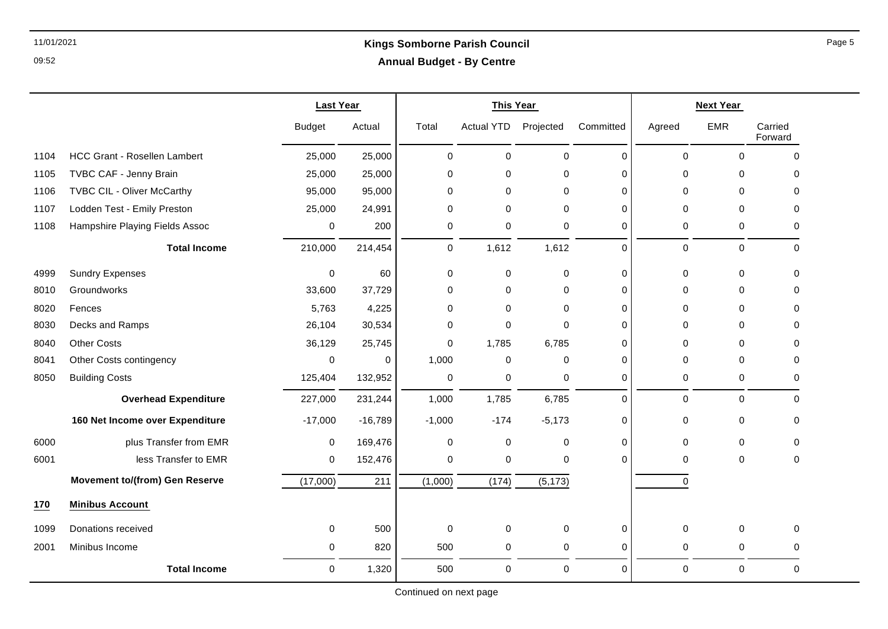## 11/01/2021 **Kings Somborne Parish Council Annual Budget - By Centre**

|      |                                       | <b>Last Year</b> |           |             | <b>This Year</b>  |             |             |             | <b>Next Year</b> |                    |
|------|---------------------------------------|------------------|-----------|-------------|-------------------|-------------|-------------|-------------|------------------|--------------------|
|      |                                       | <b>Budget</b>    | Actual    | Total       | <b>Actual YTD</b> | Projected   | Committed   | Agreed      | <b>EMR</b>       | Carried<br>Forward |
| 1104 | <b>HCC Grant - Rosellen Lambert</b>   | 25,000           | 25,000    | $\mathbf 0$ | $\mathbf 0$       | $\mathbf 0$ | $\mathbf 0$ | 0           | $\mathbf 0$      | $\mathbf 0$        |
| 1105 | TVBC CAF - Jenny Brain                | 25,000           | 25,000    | $\Omega$    | 0                 | 0           | $\Omega$    | 0           | $\Omega$         | $\Omega$           |
| 1106 | TVBC CIL - Oliver McCarthy            | 95,000           | 95,000    | $\Omega$    | $\mathbf 0$       | $\mathbf 0$ | $\Omega$    | $\mathbf 0$ | $\Omega$         | $\Omega$           |
| 1107 | Lodden Test - Emily Preston           | 25,000           | 24,991    | $\mathbf 0$ | 0                 | $\mathbf 0$ | $\mathbf 0$ | $\mathbf 0$ | $\Omega$         | 0                  |
| 1108 | Hampshire Playing Fields Assoc        | 0                | 200       | $\mathbf 0$ | 0                 | 0           | $\Omega$    | 0           | 0                | $\Omega$           |
|      | <b>Total Income</b>                   | 210,000          | 214,454   | $\pmb{0}$   | 1,612             | 1,612       | $\Omega$    | 0           | $\mathbf 0$      | $\mathbf 0$        |
| 4999 | <b>Sundry Expenses</b>                | $\mathbf 0$      | 60        | $\Omega$    | 0                 | 0           | $\mathbf 0$ | 0           | 0                | $\Omega$           |
| 8010 | Groundworks                           | 33,600           | 37,729    | 0           | 0                 | 0           | $\Omega$    | 0           | $\Omega$         | $\Omega$           |
| 8020 | Fences                                | 5,763            | 4,225     | $\Omega$    | $\Omega$          | 0           | $\Omega$    | $\Omega$    | $\Omega$         | $\Omega$           |
| 8030 | Decks and Ramps                       | 26,104           | 30,534    | 0           | 0                 | $\mathbf 0$ | $\Omega$    | 0           | $\Omega$         | $\Omega$           |
| 8040 | <b>Other Costs</b>                    | 36,129           | 25,745    | $\mathbf 0$ | 1,785             | 6,785       | $\Omega$    | 0           | $\Omega$         | $\Omega$           |
| 8041 | Other Costs contingency               | 0                | $\Omega$  | 1,000       | 0                 | 0           | $\Omega$    | $\Omega$    | 0                | $\Omega$           |
| 8050 | <b>Building Costs</b>                 | 125,404          | 132,952   | $\mathbf 0$ | 0                 | 0           | $\mathbf 0$ | 0           | 0                | 0                  |
|      | <b>Overhead Expenditure</b>           | 227,000          | 231,244   | 1,000       | 1,785             | 6,785       | $\mathbf 0$ | $\mathbf 0$ | 0                | $\mathbf 0$        |
|      | 160 Net Income over Expenditure       | $-17,000$        | $-16,789$ | $-1,000$    | $-174$            | $-5,173$    | $\mathbf 0$ | 0           | 0                | 0                  |
| 6000 | plus Transfer from EMR                | $\mathbf 0$      | 169,476   | $\mathbf 0$ | $\mathbf 0$       | 0           | $\mathbf 0$ | 0           | $\mathbf 0$      | $\mathbf 0$        |
| 6001 | less Transfer to EMR                  | $\mathbf 0$      | 152,476   | $\mathbf 0$ | 0                 | $\mathbf 0$ | $\Omega$    | 0           | 0                | $\mathbf 0$        |
|      | <b>Movement to/(from) Gen Reserve</b> | (17,000)         | 211       | (1,000)     | (174)             | (5, 173)    |             | 0           |                  |                    |
| 170  | <b>Minibus Account</b>                |                  |           |             |                   |             |             |             |                  |                    |
| 1099 | Donations received                    | 0                | 500       | $\mathbf 0$ | 0                 | 0           | $\mathbf 0$ | 0           | 0                | 0                  |
| 2001 | Minibus Income                        | $\mathbf 0$      | 820       | 500         | 0                 | 0           | $\mathbf 0$ | 0           | $\mathbf 0$      | $\Omega$           |
|      | <b>Total Income</b>                   | $\mathbf 0$      | 1,320     | 500         | $\mathbf 0$       | 0           | $\Omega$    | $\mathbf 0$ | $\mathbf 0$      | $\Omega$           |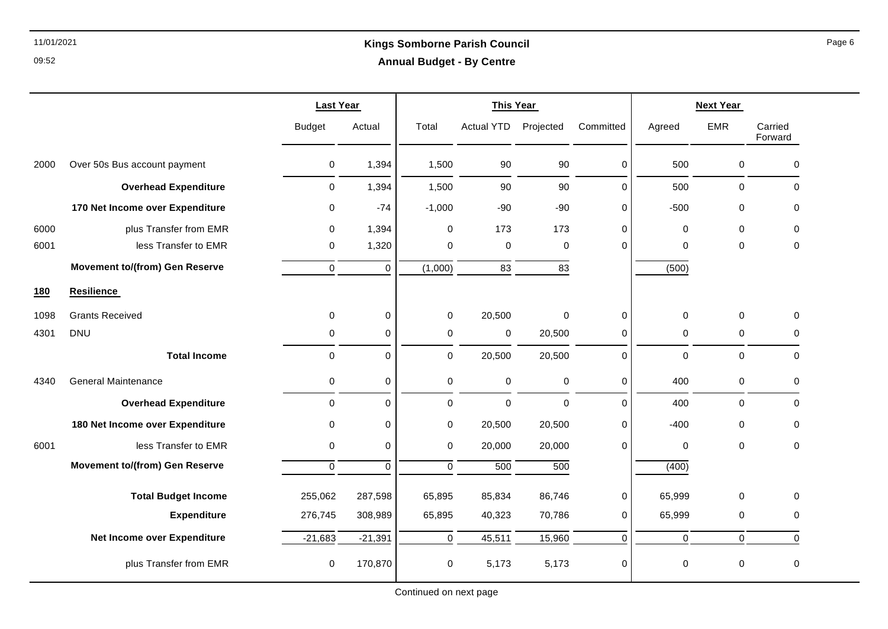## 11/01/2021 **Kings Somborne Parish Council Annual Budget - By Centre**

|      |                                       | <b>Last Year</b>    |             |             | <b>This Year</b>  |             |           |             | <b>Next Year</b> |                    |
|------|---------------------------------------|---------------------|-------------|-------------|-------------------|-------------|-----------|-------------|------------------|--------------------|
|      |                                       | <b>Budget</b>       | Actual      | Total       | <b>Actual YTD</b> | Projected   | Committed | Agreed      | <b>EMR</b>       | Carried<br>Forward |
| 2000 | Over 50s Bus account payment          | $\mathsf{O}\xspace$ | 1,394       | 1,500       | 90                | 90          | 0         | 500         | $\mathsf 0$      | $\pmb{0}$          |
|      | <b>Overhead Expenditure</b>           | $\mathsf{O}$        | 1,394       | 1,500       | 90                | 90          | 0         | 500         | $\pmb{0}$        | 0                  |
|      | 170 Net Income over Expenditure       | 0                   | $-74$       | $-1,000$    | $-90$             | $-90$       | 0         | $-500$      | 0                | 0                  |
| 6000 | plus Transfer from EMR                | $\mathsf{O}$        | 1,394       | $\mathbf 0$ | 173               | 173         | 0         | 0           | 0                | 0                  |
| 6001 | less Transfer to EMR                  | 0                   | 1,320       | $\mathbf 0$ | $\mathbf 0$       | $\mathbf 0$ | 0         | $\mathbf 0$ | $\mathbf 0$      | $\mathbf 0$        |
|      | <b>Movement to/(from) Gen Reserve</b> | $\mathbf 0$         | $\mathbf 0$ | (1,000)     | 83                | 83          |           | (500)       |                  |                    |
| 180  | <b>Resilience</b>                     |                     |             |             |                   |             |           |             |                  |                    |
| 1098 | <b>Grants Received</b>                | $\pmb{0}$           | 0           | 0           | 20,500            | $\pmb{0}$   | 0         | 0           | 0                | $\mathbf 0$        |
| 4301 | <b>DNU</b>                            | 0                   | 0           | 0           | $\mathbf 0$       | 20,500      | 0         | 0           | 0                | 0                  |
|      | <b>Total Income</b>                   | $\pmb{0}$           | $\mathbf 0$ | $\mathsf 0$ | 20,500            | 20,500      | 0         | $\mathsf 0$ | $\pmb{0}$        | $\pmb{0}$          |
| 4340 | <b>General Maintenance</b>            | $\mathsf{O}$        | $\pmb{0}$   | $\mathsf 0$ | 0                 | $\mathbf 0$ | 0         | 400         | $\pmb{0}$        | $\pmb{0}$          |
|      | <b>Overhead Expenditure</b>           | 0                   | $\Omega$    | 0           | $\mathbf 0$       | $\mathbf 0$ | 0         | 400         | 0                | $\mathbf 0$        |
|      | 180 Net Income over Expenditure       | 0                   | $\mathbf 0$ | 0           | 20,500            | 20,500      | 0         | $-400$      | 0                | 0                  |
| 6001 | less Transfer to EMR                  | $\mathsf{O}$        | 0           | $\mathbf 0$ | 20,000            | 20,000      | 0         | $\pmb{0}$   | $\pmb{0}$        | $\pmb{0}$          |
|      | <b>Movement to/(from) Gen Reserve</b> | $\mathbf 0$         | $\Omega$    | $\mathbf 0$ | 500               | 500         |           | (400)       |                  |                    |
|      | <b>Total Budget Income</b>            | 255,062             | 287,598     | 65,895      | 85,834            | 86,746      | 0         | 65,999      | 0                | 0                  |
|      | <b>Expenditure</b>                    | 276,745             | 308,989     | 65,895      | 40,323            | 70,786      | 0         | 65,999      | 0                | $\mathbf 0$        |
|      | Net Income over Expenditure           | $-21,683$           | $-21,391$   | $\Omega$    | 45,511            | 15,960      | $\Omega$  | $\mathbf 0$ | $\Omega$         | $\Omega$           |
|      | plus Transfer from EMR                | 0                   | 170,870     | 0           | 5,173             | 5,173       | 0         | 0           | $\mathbf 0$      | 0                  |